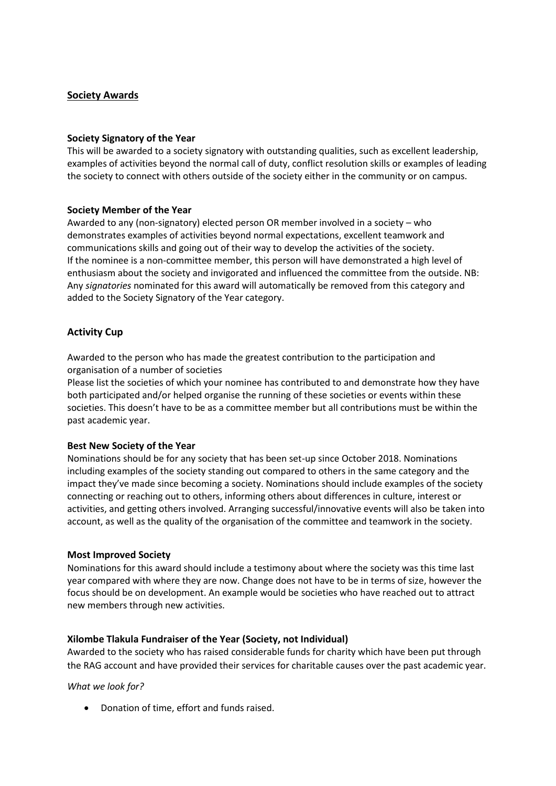# **Society Awards**

### **Society Signatory of the Year**

This will be awarded to a society signatory with outstanding qualities, such as excellent leadership, examples of activities beyond the normal call of duty, conflict resolution skills or examples of leading the society to connect with others outside of the society either in the community or on campus.

### **Society Member of the Year**

Awarded to any (non-signatory) elected person OR member involved in a society – who demonstrates examples of activities beyond normal expectations, excellent teamwork and communications skills and going out of their way to develop the activities of the society. If the nominee is a non-committee member, this person will have demonstrated a high level of enthusiasm about the society and invigorated and influenced the committee from the outside. NB: Any *signatories* nominated for this award will automatically be removed from this category and added to the Society Signatory of the Year category.

# **Activity Cup**

Awarded to the person who has made the greatest contribution to the participation and organisation of a number of societies

Please list the societies of which your nominee has contributed to and demonstrate how they have both participated and/or helped organise the running of these societies or events within these societies. This doesn't have to be as a committee member but all contributions must be within the past academic year.

#### **Best New Society of the Year**

Nominations should be for any society that has been set-up since October 2018. Nominations including examples of the society standing out compared to others in the same category and the impact they've made since becoming a society. Nominations should include examples of the society connecting or reaching out to others, informing others about differences in culture, interest or activities, and getting others involved. Arranging successful/innovative events will also be taken into account, as well as the quality of the organisation of the committee and teamwork in the society.

#### **Most Improved Society**

Nominations for this award should include a testimony about where the society was this time last year compared with where they are now. Change does not have to be in terms of size, however the focus should be on development. An example would be societies who have reached out to attract new members through new activities.

# **Xilombe Tlakula Fundraiser of the Year (Society, not Individual)**

Awarded to the society who has raised considerable funds for charity which have been put through the RAG account and have provided their services for charitable causes over the past academic year.

# *What we look for?*

• Donation of time, effort and funds raised.